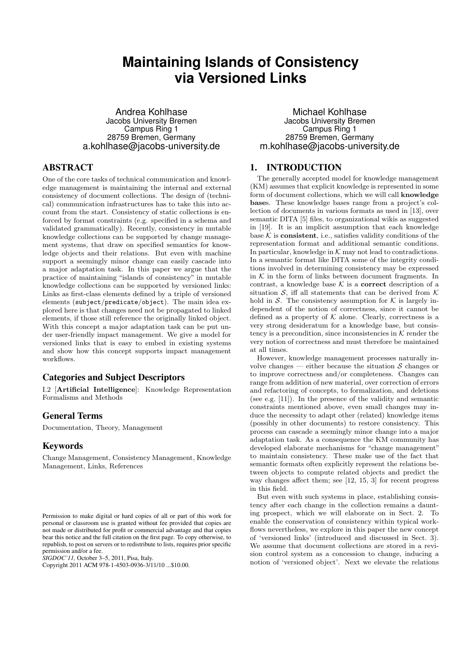# **Maintaining Islands of Consistency via Versioned Links**

Andrea Kohlhase Jacobs University Bremen Campus Ring 1 28759 Bremen, Germany a.kohlhase@jacobs-university.de

## ABSTRACT

One of the core tasks of technical communication and knowledge management is maintaining the internal and external consistency of document collections. The design of (technical) communication infrastructures has to take this into account from the start. Consistency of static collections is enforced by format constraints (e.g. specified in a schema and validated grammatically). Recently, consistency in mutable knowledge collections can be supported by change management systems, that draw on specified semantics for knowledge objects and their relations. But even with machine support a seemingly minor change can easily cascade into a major adaptation task. In this paper we argue that the practice of maintaining "islands of consistency" in mutable knowledge collections can be supported by versioned links: Links as first-class elements defined by a triple of versioned elements (subject/predicate/object). The main idea explored here is that changes need not be propagated to linked elements, if those still reference the originally linked object. With this concept a major adaptation task can be put under user-friendly impact management. We give a model for versioned links that is easy to embed in existing systems and show how this concept supports impact management workflows.

## Categories and Subject Descriptors

I.2 [Artificial Intelligence]: Knowledge Representation Formalisms and Methods

#### General Terms

Documentation, Theory, Management

### Keywords

Change Management, Consistency Management, Knowledge Management, Links, References

*SIGDOC'11,* October 3–5, 2011, Pisa, Italy.

Michael Kohlhase Jacobs University Bremen Campus Ring 1 28759 Bremen, Germany m.kohlhase@jacobs-university.de

## 1. INTRODUCTION

The generally accepted model for knowledge management (KM) assumes that explicit knowledge is represented in some form of document collections, which we will call knowledge bases. These knowledge bases range from a project's collection of documents in various formats as used in [13], over semantic DITA [5] files, to organizational wikis as suggested in [19]. It is an implicit assumption that each knowledge base  $K$  is **consistent**, i.e., satisfies validity conditions of the representation format and additional semantic conditions. In particular, knowledge in  $K$  may not lead to contradictions. In a semantic format like DITA some of the integrity conditions involved in determining consistency may be expressed in  $K$  in the form of links between document fragments. In contrast, a knowledge base  $K$  is a **correct** description of a situation  $S$ , iff all statements that can be derived from  $K$ hold in S. The consistency assumption for  $K$  is largely independent of the notion of correctness, since it cannot be defined as a property of  $K$  alone. Clearly, correctness is a very strong desideratum for a knowledge base, but consistency is a precondition, since inconsistencies in  $K$  render the very notion of correctness and must therefore be maintained at all times.

However, knowledge management processes naturally involve changes — either because the situation  $\mathcal S$  changes or to improve correctness and/or completeness. Changes can range from addition of new material, over correction of errors and refactoring of concepts, to formalization, and deletions (see e.g. [11]). In the presence of the validity and semantic constraints mentioned above, even small changes may induce the necessity to adapt other (related) knowledge items (possibly in other documents) to restore consistency. This process can cascade a seemingly minor change into a major adaptation task. As a consequence the KM community has developed elaborate mechanisms for "change management" to maintain consistency. These make use of the fact that semantic formats often explicitly represent the relations between objects to compute related objects and predict the way changes affect them; see [12, 15, 3] for recent progress in this field.

But even with such systems in place, establishing consistency after each change in the collection remains a daunting prospect, which we will elaborate on in Sect. 2. To enable the conservation of consistency within typical workflows nevertheless, we explore in this paper the new concept of 'versioned links' (introduced and discussed in Sect. 3). We assume that document collections are stored in a revision control system as a concession to change, inducing a notion of 'versioned object'. Next we elevate the relations

Permission to make digital or hard copies of all or part of this work for personal or classroom use is granted without fee provided that copies are not made or distributed for profit or commercial advantage and that copies bear this notice and the full citation on the first page. To copy otherwise, to republish, to post on servers or to redistribute to lists, requires prior specific permission and/or a fee.

Copyright 2011 ACM 978-1-4503-0936-3/11/10 ...\$10.00.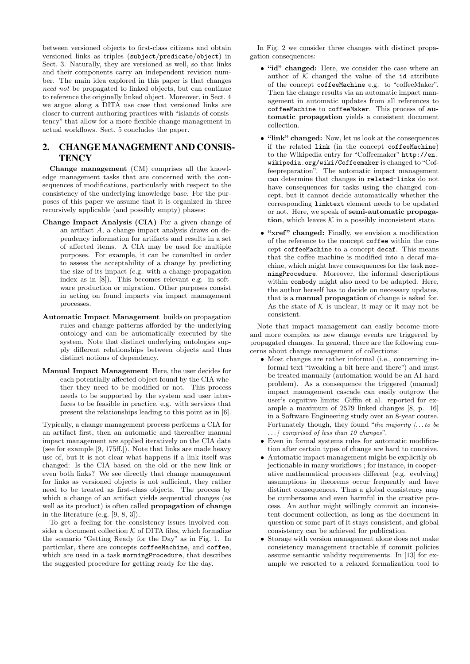between versioned objects to first-class citizens and obtain versioned links as triples (subject/predicate/object) in Sect. 3. Naturally, they are versioned as well, so that links and their components carry an independent revision number. The main idea explored in this paper is that changes need not be propagated to linked objects, but can continue to reference the originally linked object. Moreover, in Sect. 4 we argue along a DITA use case that versioned links are closer to current authoring practices with "islands of consistency" that allow for a more flexible change management in actual workflows. Sect. 5 concludes the paper.

## 2. CHANGE MANAGEMENT AND CONSIS-**TENCY**

Change management (CM) comprises all the knowledge management tasks that are concerned with the consequences of modifications, particularly with respect to the consistency of the underlying knowledge base. For the purposes of this paper we assume that it is organized in three recursively applicable (and possibly empty) phases:

- Change Impact Analysis (CIA) For a given change of an artifact A, a change impact analysis draws on dependency information for artifacts and results in a set of affected items. A CIA may be used for multiple purposes. For example, it can be consulted in order to assess the acceptability of a change by predicting the size of its impact (e.g. with a change propagation index as in [8]). This becomes relevant e.g. in software production or migration. Other purposes consist in acting on found impacts via impact management processes.
- Automatic Impact Management builds on propagation rules and change patterns afforded by the underlying ontology and can be automatically executed by the system. Note that distinct underlying ontologies supply different relationships between objects and thus distinct notions of dependency.
- Manual Impact Management Here, the user decides for each potentially affected object found by the CIA whether they need to be modified or not. This process needs to be supported by the system and user interfaces to be feasible in practice, e.g. with services that present the relationships leading to this point as in [6].

Typically, a change management process performs a CIA for an artifact first, then an automatic and thereafter manual impact management are applied iteratively on the CIA data (see for example [9, 175ff.]). Note that links are made heavy use of, but it is not clear what happens if a link itself was changed: Is the CIA based on the old or the new link or even both links? We see directly that change management for links as versioned objects is not sufficient, they rather need to be treated as first-class objects. The process by which a change of an artifact yields sequential changes (as well as its product) is often called propagation of change in the literature (e.g. [9, 8, 3]).

To get a feeling for the consistency issues involved consider a document collection  $K$  of DITA files, which formalize the scenario "Getting Ready for the Day" as in Fig. 1. In particular, there are concepts coffeeMachine, and coffee, which are used in a task morningProcedure, that describes the suggested procedure for getting ready for the day.

In Fig. 2 we consider three changes with distinct propagation consequences:

- "id" changed: Here, we consider the case where an author of  $K$  changed the value of the id attribute of the concept coffeeMachine e.g. to "coffeeMaker". Then the change results via an automatic impact management in automatic updates from all references to coffeeMachine to coffeeMaker. This process of automatic propagation yields a consistent document collection.
- "link" changed: Now, let us look at the consequences if the related link (in the concept coffeeMachine) to the Wikipedia entry for "Coffeemaker" http://en. wikipedia.org/wiki/Coffeemaker is changed to "Coffeepreparation". The automatic impact management can determine that changes in related-links do not have consequences for tasks using the changed concept, but it cannot decide automatically whether the corresponding linktext element needs to be updated or not. Here, we speak of semi-automatic propagation, which leaves  $K$  in a possibly inconsistent state.
- "xref" changed: Finally, we envision a modification of the reference to the concept coffee within the concept coffeeMachine to a concept decaf. This means that the coffee machine is modified into a decaf machine, which might have consequences for the task morningProcedure. Moreover, the informal descriptions within conbody might also need to be adapted. Here, the author herself has to decide on necessary updates, that is a manual propagation of change is asked for. As the state of  $K$  is unclear, it may or it may not be consistent.

Note that impact management can easily become more and more complex as new change events are triggered by propagated changes. In general, there are the following concerns about change management of collections:

- Most changes are rather informal (i.e., concerning informal text "tweaking a bit here and there") and must be treated manually (automation would be an AI-hard problem). As a consequence the triggered (manual) impact management cascade can easily outgrow the user's cognitive limits: Giffin et al. reported for example a maximum of 2579 linked changes [8, p. 16] in a Software Engineering study over an 8-year course. Fortunately though, they found "the majority  $\beta$ ... to be  $\ldots$  comprised of less than 10 changes".
- Even in formal systems rules for automatic modification after certain types of change are hard to conceive.
- Automatic impact management might be explicitly objectionable in many workflows ; for instance, in cooperative mathematical processes different (e.g. evolving) assumptions in theorems occur frequently and have distinct consequences. Thus a global consistency may be cumbersome and even harmful in the creative process. An author might willingly commit an inconsistent document collection, as long as the document in question or some part of it stays consistent, and global consistency can be achieved for publication.
- Storage with version management alone does not make consistency management tractable if commit policies assume semantic validity requirements. In [13] for example we resorted to a relaxed formalization tool to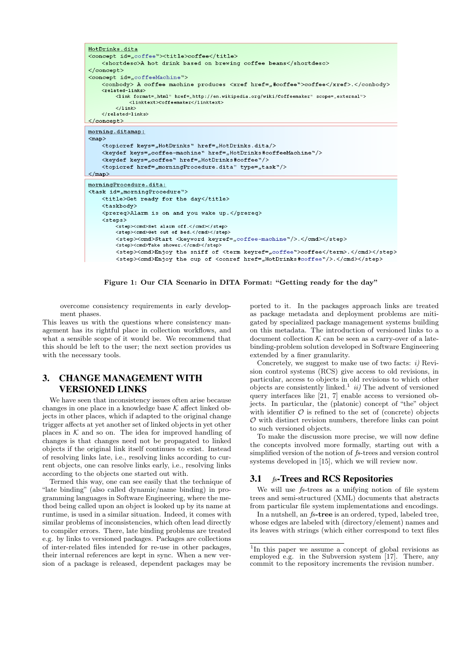

Figure 1: Our CIA Scenario in DITA Format: "Getting ready for the day"

overcome consistency requirements in early development phases.

This leaves us with the questions where consistency management has its rightful place in collection workflows, and what a sensible scope of it would be. We recommend that this should be left to the user; the next section provides us with the necessary tools.

## 3. CHANGE MANAGEMENT WITH VERSIONED LINKS

We have seen that inconsistency issues often arise because changes in one place in a knowledge base  $K$  affect linked objects in other places, which if adapted to the original change trigger affects at yet another set of linked objects in yet other places in  $K$  and so on. The idea for improved handling of changes is that changes need not be propagated to linked objects if the original link itself continues to exist. Instead of resolving links late, i.e., resolving links according to current objects, one can resolve links early, i.e., resolving links according to the objects one started out with.

Termed this way, one can see easily that the technique of "late binding" (also called dynamic/name binding) in programming languages in Software Engineering, where the method being called upon an object is looked up by its name at runtime, is used in a similar situation. Indeed, it comes with similar problems of inconsistencies, which often lead directly to compiler errors. There, late binding problems are treated e.g. by links to versioned packages. Packages are collections of inter-related files intended for re-use in other packages, their internal references are kept in sync. When a new version of a package is released, dependent packages may be

ported to it. In the packages approach links are treated as package metadata and deployment problems are mitigated by specialized package management systems building on this metadata. The introduction of versioned links to a document collection  $K$  can be seen as a carry-over of a latebinding-problem solution developed in Software Engineering extended by a finer granularity.

Concretely, we suggest to make use of two facts:  $i$ ) Revision control systems (RCS) give access to old revisions, in particular, access to objects in old revisions to which other objects are consistently linked.<sup>1</sup> *ii*) The advent of versioned query interfaces like [21, 7] enable access to versioned objects. In particular, the (platonic) concept of "the" object with identifier  $\mathcal O$  is refined to the set of (concrete) objects  $\mathcal O$  with distinct revision numbers, therefore links can point to such versioned objects.

To make the discussion more precise, we will now define the concepts involved more formally, starting out with a simplified version of the notion of fs-trees and version control systems developed in [15], which we will review now.

#### 3.1 fs-Trees and RCS Repositories

We will use *fs*-trees as a unifying notion of file system trees and semi-structured (XML) documents that abstracts from particular file system implementations and encodings.

In a nutshell, an fs-tree is an ordered, typed, labeled tree, whose edges are labeled with (directory/element) names and its leaves with strings (which either correspond to text files

<sup>&</sup>lt;sup>1</sup>In this paper we assume a concept of global revisions as employed e.g. in the Subversion system [17]. There, any commit to the repository increments the revision number.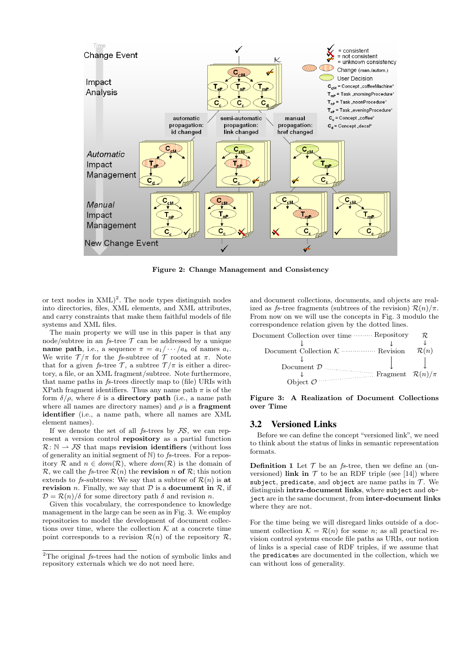

Figure 2: Change Management and Consistency

or text nodes in  $XML$ <sup>2</sup>. The node types distinguish nodes into directories, files, XML elements, and XML attributes, and carry constraints that make them faithful models of file systems and XML files.

The main property we will use in this paper is that any node/subtree in an  $f_s$ -tree  $\mathcal T$  can be addressed by a unique name path, i.e., a sequence  $\pi = a_1 / \cdots / a_k$  of names  $a_i$ . We write  $T/\pi$  for the fs-subtree of  $\mathcal T$  rooted at  $\pi$ . Note that for a given fs-tree  $\mathcal{T}$ , a subtree  $\mathcal{T}/\pi$  is either a directory, a file, or an XML fragment/subtree. Note furthermore, that name paths in fs-trees directly map to (file) URIs with XPath fragment identifiers. Thus any name path  $\pi$  is of the form  $\delta/\rho$ , where  $\delta$  is a **directory path** (i.e., a name path where all names are directory names) and  $\rho$  is a **fragment** identifier (i.e., a name path, where all names are XML element names).

If we denote the set of all  $f_s$ -trees by  $\mathcal{FS}$ , we can represent a version control repository as a partial function  $\mathcal{R}: \mathbb{N} \to \mathcal{F}S$  that maps revision identifiers (without loss of generality an initial segment of  $\mathbb N$  to fs-trees. For a repository R and  $n \in dom(\mathcal{R})$ , where  $dom(\mathcal{R})$  is the domain of R, we call the fs-tree  $\mathcal{R}(n)$  the **revision** n of R; this notion extends to fs-subtrees: We say that a subtree of  $\mathcal{R}(n)$  is at revision *n*. Finally, we say that  $D$  is a document in  $R$ , if  $\mathcal{D} = \mathcal{R}(n)/\delta$  for some directory path  $\delta$  and revision n.

Given this vocabulary, the correspondence to knowledge management in the large can be seen as in Fig. 3. We employ repositories to model the development of document collections over time, where the collection  $K$  at a concrete time point corresponds to a revision  $\mathcal{R}(n)$  of the repository  $\mathcal{R}$ ,

and document collections, documents, and objects are realized as fs-tree fragments (subtrees of the revision)  $\mathcal{R}(n)/\pi$ . From now on we will use the concepts in Fig. 3 modulo the correspondence relation given by the dotted lines.

| Document Collection over time Repository                                                                                                                                                                                                                                                                     |                  |
|--------------------------------------------------------------------------------------------------------------------------------------------------------------------------------------------------------------------------------------------------------------------------------------------------------------|------------------|
|                                                                                                                                                                                                                                                                                                              |                  |
| Document Collection $K$ Revision                                                                                                                                                                                                                                                                             | $\mathcal{R}(n)$ |
|                                                                                                                                                                                                                                                                                                              |                  |
| $\downarrow$<br>$\downarrow$<br>$\downarrow$<br>$\downarrow$<br>$\downarrow$<br>$\downarrow$<br>$\downarrow$<br>$\downarrow$<br>$\downarrow$<br>$\downarrow$<br>$\downarrow$<br>$\downarrow$<br>$\downarrow$<br>$\downarrow$<br>$\downarrow$<br>$\downarrow$<br>$\downarrow$<br>$\downarrow$<br>$\downarrow$ |                  |
|                                                                                                                                                                                                                                                                                                              |                  |
|                                                                                                                                                                                                                                                                                                              |                  |

#### Figure 3: A Realization of Document Collections over Time

#### 3.2 Versioned Links

Before we can define the concept "versioned link", we need to think about the status of links in semantic representation formats.

**Definition 1** Let  $\mathcal T$  be an *fs*-tree, then we define an (unversioned) link in  $T$  to be an RDF triple (see [14]) where subject, predicate, and object are name paths in  $\mathcal T$ . We distinguish intra-document links, where subject and object are in the same document, from inter-document links where they are not.

For the time being we will disregard links outside of a document collection  $\mathcal{K} = \mathcal{R}(n)$  for some *n*; as all practical revision control systems encode file paths as URIs, our notion of links is a special case of RDF triples, if we assume that the predicates are documented in the collection, which we can without loss of generality.

<sup>&</sup>lt;sup>2</sup>The original  $fs$ -trees had the notion of symbolic links and repository externals which we do not need here.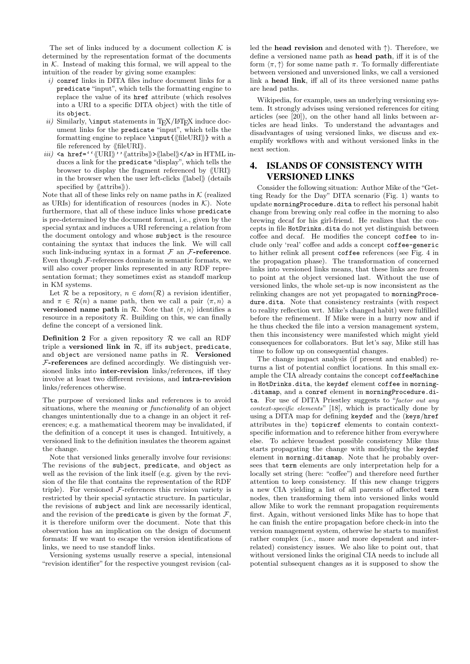The set of links induced by a document collection  $K$  is determined by the representation format of the documents in  $K$ . Instead of making this formal, we will appeal to the intuition of the reader by giving some examples:

- i) conref links in DITA files induce document links for a predicate "input", which tells the formatting engine to replace the value of its href attribute (which resolves into a URI to a specific DITA object) with the title of its object.
- $ii)$  Similarly,  $\infty$  statements in TEX/LATEX induce document links for the predicate "input", which tells the formatting engine to replace  $\in$  (fileURI) with a file referenced by  $\langle\langle\text{fileURI}\rangle\rangle$ .
- iii) <a href='' $\langle \langle \text{URI} \rangle \rangle$ '' $\langle \langle \text{attributes} \rangle \rangle$ ' $\langle \langle \text{label} \rangle \rangle$  </a> in HTML induces a link for the predicate "display", which tells the browser to display the fragment referenced by  $\langle \text{URI} \rangle$ in the browser when the user left-clicks  $\langle \text{label} \rangle$  (details specified by  $\langle\langle \text{attributes} \rangle\rangle$ .

Note that all of these links rely on name paths in  $K$  (realized as URIs) for identification of resources (nodes in  $K$ ). Note furthermore, that all of these induce links whose predicate is pre-determined by the document format, i.e., given by the special syntax and induces a URI referencing a relation from the document ontology and whose subject is the resource containing the syntax that induces the link. We will call such link-inducing syntax in a format  $\mathcal F$  an  $\mathcal F$ -reference. Even though  $F$ -references dominate in semantic formats, we will also cover proper links represented in any RDF representation format; they sometimes exist as standoff markup in KM systems.

Let  $\mathcal R$  be a repository,  $n \in dom(\mathcal R)$  a revision identifier, and  $\pi \in \mathcal{R}(n)$  a name path, then we call a pair  $\langle \pi, n \rangle$  a versioned name path in R. Note that  $\langle \pi, n \rangle$  identifies a resource in a repository  $R$ . Building on this, we can finally define the concept of a versioned link.

**Definition 2** For a given repository  $\mathcal{R}$  we call an RDF triple a versioned link in  $R$ , iff its subject, predicate, and object are versioned name paths in  $R$ . Versioned  $F$ -references are defined accordingly. We distinguish versioned links into inter-revision links/references, iff they involve at least two different revisions, and intra-revision links/references otherwise.

The purpose of versioned links and references is to avoid situations, where the meaning or functionality of an object changes unintentionally due to a change in an object it references; e.g. a mathematical theorem may be invalidated, if the definition of a concept it uses is changed. Intuitively, a versioned link to the definition insulates the theorem against the change.

Note that versioned links generally involve four revisions: The revisions of the subject, predicate, and object as well as the revision of the link itself (e.g. given by the revision of the file that contains the representation of the RDF triple). For versioned  $F$ -references this revision variety is restricted by their special syntactic structure. In particular, the revisions of subject and link are necessarily identical, and the revision of the predicate is given by the format  $\mathcal{F}_1$ , it is therefore uniform over the document. Note that this observation has an implication on the design of document formats: If we want to escape the version identifications of links, we need to use standoff links.

Versioning systems usually reserve a special, intensional "revision identifier" for the respective youngest revision (called the **head revision** and denoted with  $\uparrow$ ). Therefore, we define a versioned name path as head path, iff it is of the form  $\langle \pi, \uparrow \rangle$  for some name path  $\pi$ . To formally differentiate between versioned and unversioned links, we call a versioned link a head link, iff all of its three versioned name paths are head paths.

Wikipedia, for example, uses an underlying versioning system. It strongly advises using versioned references for citing articles (see [20]), on the other hand all links between articles are head links. To understand the advantages and disadvantages of using versioned links, we discuss and exemplify workflows with and without versioned links in the next section.

## 4. ISLANDS OF CONSISTENCY WITH VERSIONED LINKS

Consider the following situation: Author Mike of the "Getting Ready for the Day" DITA scenario (Fig. 1) wants to update morningProcedure.dita to reflect his personal habit change from brewing only real coffee in the morning to also brewing decaf for his girl-friend. He realizes that the concepts in file HotDrinks.dita do not yet distinguish between coffee and decaf. He modifies the concept coffee to include only 'real' coffee and adds a concept coffee-generic to hither relink all present coffee references (see Fig. 4 in the propagation phase). The transformation of concerned links into versioned links means, that these links are frozen to point at the object versioned last. Without the use of versioned links, the whole set-up is now inconsistent as the relinking changes are not yet propagated to morningProcedure.dita. Note that consistency restraints (with respect to reality reflection wrt. Mike's changed habit) were fulfilled before the refinement. If Mike were in a hurry now and if he thus checked the file into a version management system, then this inconsistency were manifested which might yield consequences for collaborators. But let's say, Mike still has time to follow up on consequential changes.

The change impact analysis (if present and enabled) returns a list of potential conflict locations. In this small example the CIA already contains the concept coffeeMachine in HotDrinks.dita, the keydef element coffee in morning- .ditamap, and a conref element in morningProcedure.dita. For use of DITA Priestley suggests to "factor out any context-specific elements" [18], which is practically done by using a DITA map for defining keydef and the (keys/href attributes in the) topicref elements to contain contextspecific information and to reference hither from everywhere else. To achieve broadest possible consistency Mike thus starts propagating the change with modifying the keydef element in morning.ditamap. Note that he probably oversees that term elements are only interpretation help for a locally set string (here: "coffee") and therefore need further attention to keep consistency. If this new change triggers a new CIA yielding a list of all parents of affected term nodes, then transforming them into versioned links would allow Mike to work the remnant propagation requirements first. Again, without versioned links Mike has to hope that he can finish the entire propagation before check-in into the version management system, otherwise he starts to manifest rather complex (i.e., more and more dependent and interrelated) consistency issues. We also like to point out, that without versioned links the original CIA needs to include all potential subsequent changes as it is supposed to show the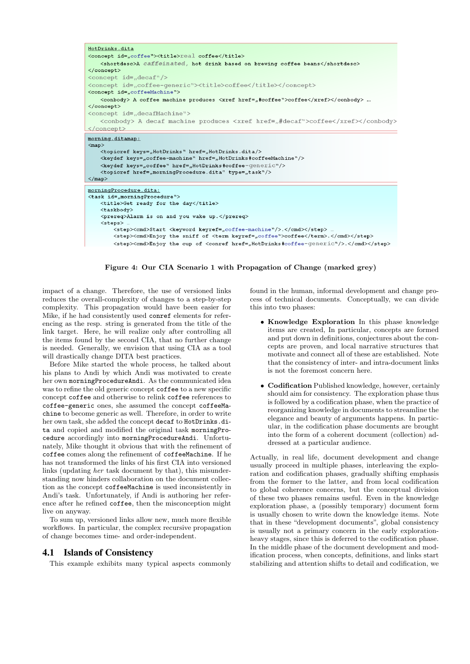



impact of a change. Therefore, the use of versioned links reduces the overall-complexity of changes to a step-by-step complexity. This propagation would have been easier for Mike, if he had consistently used conref elements for referencing as the resp. string is generated from the title of the link target. Here, he will realize only after controlling all the items found by the second CIA, that no further change is needed. Generally, we envision that using CIA as a tool will drastically change DITA best practices.

Before Mike started the whole process, he talked about his plans to Andi by which Andi was motivated to create her own morningProcedureAndi. As the communicated idea was to refine the old generic concept coffee to a new specific concept coffee and otherwise to relink coffee references to coffee-generic ones, she assumed the concept coffeeMachine to become generic as well. Therefore, in order to write her own task, she added the concept decaf to HotDrinks.dita and copied and modified the original task morningProcedure accordingly into morningProcedureAndi. Unfortunately, Mike thought it obvious that with the refinement of coffee comes along the refinement of coffeeMachine. If he has not transformed the links of his first CIA into versioned links (updating her task document by that), this misunderstanding now hinders collaboration on the document collection as the concept coffeeMachine is used inconsistently in Andi's task. Unfortunately, if Andi is authoring her reference after he refined coffee, then the misconception might live on anyway.

To sum up, versioned links allow new, much more flexible workflows. In particular, the complex recursive propagation of change becomes time- and order-independent.

#### 4.1 Islands of Consistency

This example exhibits many typical aspects commonly

found in the human, informal development and change process of technical documents. Conceptually, we can divide this into two phases:

- Knowledge Exploration In this phase knowledge items are created, In particular, concepts are formed and put down in definitions, conjectures about the concepts are proven, and local narrative structures that motivate and connect all of these are established. Note that the consistency of inter- and intra-document links is not the foremost concern here.
- Codification Published knowledge, however, certainly should aim for consistency. The exploration phase thus is followed by a codification phase, when the practice of reorganizing knowledge in documents to streamline the elegance and beauty of arguments happens. In particular, in the codification phase documents are brought into the form of a coherent document (collection) addressed at a particular audience.

Actually, in real life, document development and change usually proceed in multiple phases, interleaving the exploration and codification phases, gradually shifting emphasis from the former to the latter, and from local codification to global coherence concerns, but the conceptual division of these two phases remains useful. Even in the knowledge exploration phase, a (possibly temporary) document form is usually chosen to write down the knowledge items. Note that in these "development documents", global consistency is usually not a primary concern in the early explorationheavy stages, since this is deferred to the codification phase. In the middle phase of the document development and modification process, when concepts, definitions, and links start stabilizing and attention shifts to detail and codification, we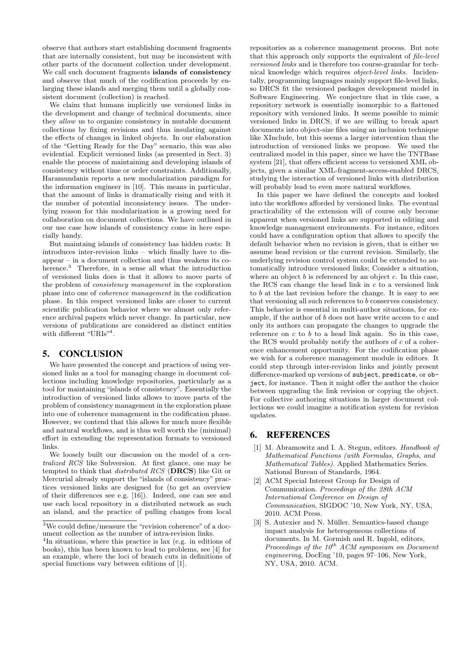observe that authors start establishing document fragments that are internally consistent, but may be inconsistent with other parts of the document collection under development. We call such document fragments islands of consistency and observe that much of the codification proceeds by enlarging these islands and merging them until a globally consistent document (collection) is reached.

We claim that humans implicitly use versioned links in the development and change of technical documents, since they allow us to organize consistency in mutable document collections by fixing revisions and thus insulating against the effects of changes in linked objects. In our elaboration of the "Getting Ready for the Day" scenario, this was also evidential. Explicit versioned links (as presented in Sect. 3) enable the process of maintaining and developing islands of consistency without time or order constraints. Additionally, Haramundanis reports a new modularization paradigm for the information engineer in [10]. This means in particular, that the amount of links is dramatically rising and with it the number of potential inconsistency issues. The underlying reason for this modularization is a growing need for collaboration on document collections. We have outlined in our use case how islands of consistency come in here especially handy.

But maintaing islands of consistency has hidden costs: It introduces inter-revision links – which finally have to disappear – in a document collection and thus weakens its coherence.<sup>3</sup> Therefore, in a sense all what the introduction of versioned links does is that it allows to move parts of the problem of consistency management in the exploration phase into one of coherence management in the codification phase. In this respect versioned links are closer to current scientific publication behavior where we almost only reference archival papers which never change. In particular, new versions of publications are considered as distinct entities with different "URIs"<sup>4</sup>.

### 5. CONCLUSION

We have presented the concept and practices of using versioned links as a tool for managing change in document collections including knowledge repositories, particularly as a tool for maintaining "islands of consistency". Essentially the introduction of versioned links allows to move parts of the problem of consistency management in the exploration phase into one of coherence management in the codification phase. However, we contend that this allows for much more flexible and natural workflows, and is thus well worth the (minimal) effort in extending the representation formats to versioned links.

We loosely built our discussion on the model of a centralized RCS like Subversion. At first glance, one may be tempted to think that distributed RCS (DRCS) like Git or Mercurial already support the "islands of consistency" practices versioned links are designed for (to get an overview of their differences see e.g. [16]). Indeed, one can see and use each local repository in a distributed network as such an island, and the practice of pulling changes from local

repositories as a coherence management process. But note that this approach only supports the equivalent of file-level versioned links and is therefore too course-granular for technical knowledge which requires object-level links. Incidentally, programming languages mainly support file-level links, so DRCS fit the versioned packages development model in Software Engineering. We conjecture that in this case, a repository network is essentially isomorphic to a flattened repository with versioned links. It seems possible to mimic versioned links in DRCS, if we are willing to break apart documents into object-size files using an inclusion technique like XInclude, but this seems a larger intervention than the introduction of versioned links we propose. We used the centralized model in this paper, since we have the TNTBase system [21], that offers efficient access to versioned XML objects, given a similar XML-fragment-access-enabled DRCS, studying the interaction of versioned links with distribution will probably lead to even more natural workflows.

In this paper we have defined the concepts and looked into the workflows afforded by versioned links. The eventual practicability of the extension will of course only become apparent when versioned links are supported in editing and knowledge management environments. For instance, editors could have a configuration option that allows to specify the default behavior when no revision is given, that is either we assume head revision or the current revision. Similarly, the underlying revision control system could be extended to automatically introduce versioned links; Consider a situation, where an object  $b$  is referenced by an object  $c$ . In this case, the RCS can change the head link in c to a versioned link to b at the last revision before the change. It is easy to see that versioning all such references to b conserves consistency. This behavior is essential in multi-author situations, for example, if the author of b does not have write access to c and only its authors can propagate the changes to upgrade the reference on  $c$  to  $b$  to a head link again. So in this case, the RCS would probably notify the authors of  $c$  of a coherence enhancement opportunity. For the codification phase we wish for a coherence management module in editors. It could step through inter-revision links and jointly present difference-marked up versions of subject, predicate, or object, for instance. Then it might offer the author the choice between upgrading the link revision or copying the object. For collective authoring situations in larger document collections we could imagine a notification system for revision updates.

### 6. REFERENCES

- [1] M. Abramowitz and I. A. Stegun, editors. Handbook of Mathematical Functions (with Formulas, Graphs, and Mathematical Tables). Applied Mathematics Series. National Bureau of Standards, 1964.
- [2] ACM Special Interest Group for Design of Communication. Proceedings of the 28th ACM International Conference on Design of Communication, SIGDOC '10, New York, NY, USA, 2010. ACM Press.
- [3] S. Autexier and N. Müller. Semantics-based change impact analysis for heterogeneous collections of documents. In M. Gormish and R. Ingold, editors, Proceedings of the  $10^{th}$  ACM symposium on Document engineering, DocEng '10, pages 97–106, New York, NY, USA, 2010. ACM.

 $\overline{^{3}{\rm{We}}}$  could define/measure the "revision coherence" of a document collection as the number of intra-revision links.

<sup>4</sup> In situations, where this practice is lax (e.g. in editions of books), this has been known to lead to problems, see [4] for an example, where the loci of branch cuts in definitions of special functions vary between editions of [1].